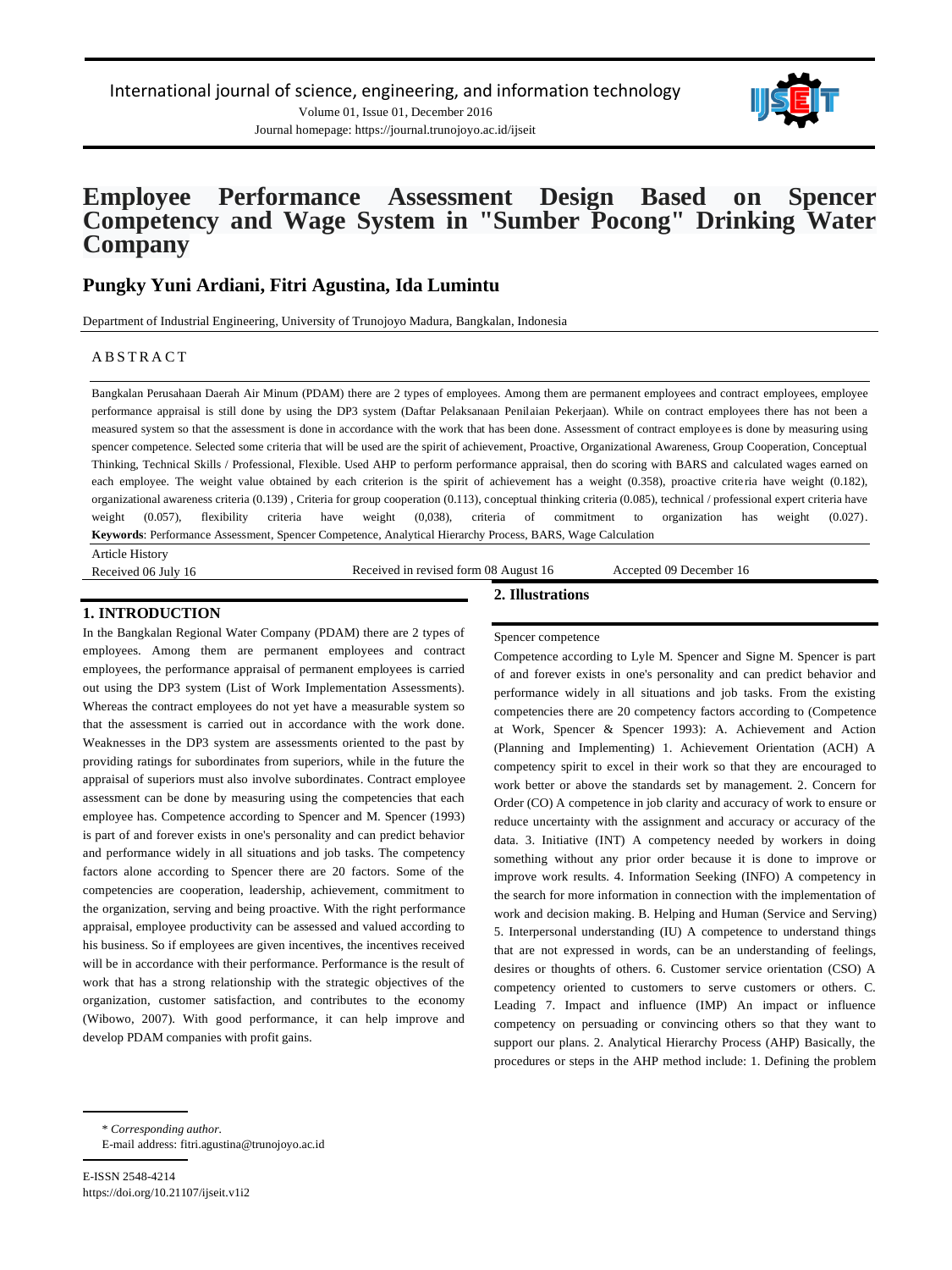



# **Employee Performance Assessment Design Based on Spencer Competency and Wage System in "Sumber Pocong" Drinking Water Company**

# **Pungky Yuni Ardiani, Fitri Agustina, Ida Lumintu**

Department of Industrial Engineering, University of Trunojoyo Madura, Bangkalan, Indonesia

### A B S T R A C T

Bangkalan Perusahaan Daerah Air Minum (PDAM) there are 2 types of employees. Among them are permanent employees and contract employees, employee performance appraisal is still done by using the DP3 system (Daftar Pelaksanaan Penilaian Pekerjaan). While on contract employees there has not been a measured system so that the assessment is done in accordance with the work that has been done. Assessment of contract employe es is done by measuring using spencer competence. Selected some criteria that will be used are the spirit of achievement, Proactive, Organizational Awareness, Group Cooperation, Conceptual Thinking, Technical Skills / Professional, Flexible. Used AHP to perform performance appraisal, then do scoring with BARS and calculated wages earned on each employee. The weight value obtained by each criterion is the spirit of achievement has a weight (0.358), proactive criteria have weight (0.182), organizational awareness criteria (0.139) , Criteria for group cooperation (0.113), conceptual thinking criteria (0.085), technical / professional expert criteria have weight (0.057), flexibility criteria have weight (0,038), criteria of commitment to organization has weight (0.027). **Keywords**: Performance Assessment, Spencer Competence, Analytical Hierarchy Process, BARS, Wage Calculation

Article History

Received 06 July 16 Received in revised form 08 August 16 Accepted 09 December 16

#### **1. INTRODUCTION**

In the Bangkalan Regional Water Company (PDAM) there are 2 types of employees. Among them are permanent employees and contract employees, the performance appraisal of permanent employees is carried out using the DP3 system (List of Work Implementation Assessments). Whereas the contract employees do not yet have a measurable system so that the assessment is carried out in accordance with the work done. Weaknesses in the DP3 system are assessments oriented to the past by providing ratings for subordinates from superiors, while in the future the appraisal of superiors must also involve subordinates. Contract employee assessment can be done by measuring using the competencies that each employee has. Competence according to Spencer and M. Spencer (1993) is part of and forever exists in one's personality and can predict behavior and performance widely in all situations and job tasks. The competency factors alone according to Spencer there are 20 factors. Some of the competencies are cooperation, leadership, achievement, commitment to the organization, serving and being proactive. With the right performance appraisal, employee productivity can be assessed and valued according to his business. So if employees are given incentives, the incentives received will be in accordance with their performance. Performance is the result of work that has a strong relationship with the strategic objectives of the organization, customer satisfaction, and contributes to the economy (Wibowo, 2007). With good performance, it can help improve and develop PDAM companies with profit gains.

#### Spencer competence

**2. Illustrations**

Competence according to Lyle M. Spencer and Signe M. Spencer is part of and forever exists in one's personality and can predict behavior and performance widely in all situations and job tasks. From the existing competencies there are 20 competency factors according to (Competence at Work, Spencer & Spencer 1993): A. Achievement and Action (Planning and Implementing) 1. Achievement Orientation (ACH) A competency spirit to excel in their work so that they are encouraged to work better or above the standards set by management. 2. Concern for Order (CO) A competence in job clarity and accuracy of work to ensure or reduce uncertainty with the assignment and accuracy or accuracy of the data. 3. Initiative (INT) A competency needed by workers in doing something without any prior order because it is done to improve or improve work results. 4. Information Seeking (INFO) A competency in the search for more information in connection with the implementation of work and decision making. B. Helping and Human (Service and Serving) 5. Interpersonal understanding (IU) A competence to understand things that are not expressed in words, can be an understanding of feelings, desires or thoughts of others. 6. Customer service orientation (CSO) A competency oriented to customers to serve customers or others. C. Leading 7. Impact and influence (IMP) An impact or influence competency on persuading or convincing others so that they want to support our plans. 2. Analytical Hierarchy Process (AHP) Basically, the procedures or steps in the AHP method include: 1. Defining the problem

\* *Corresponding author.*

E-mail address: fitri.agustina@trunojoyo.ac.id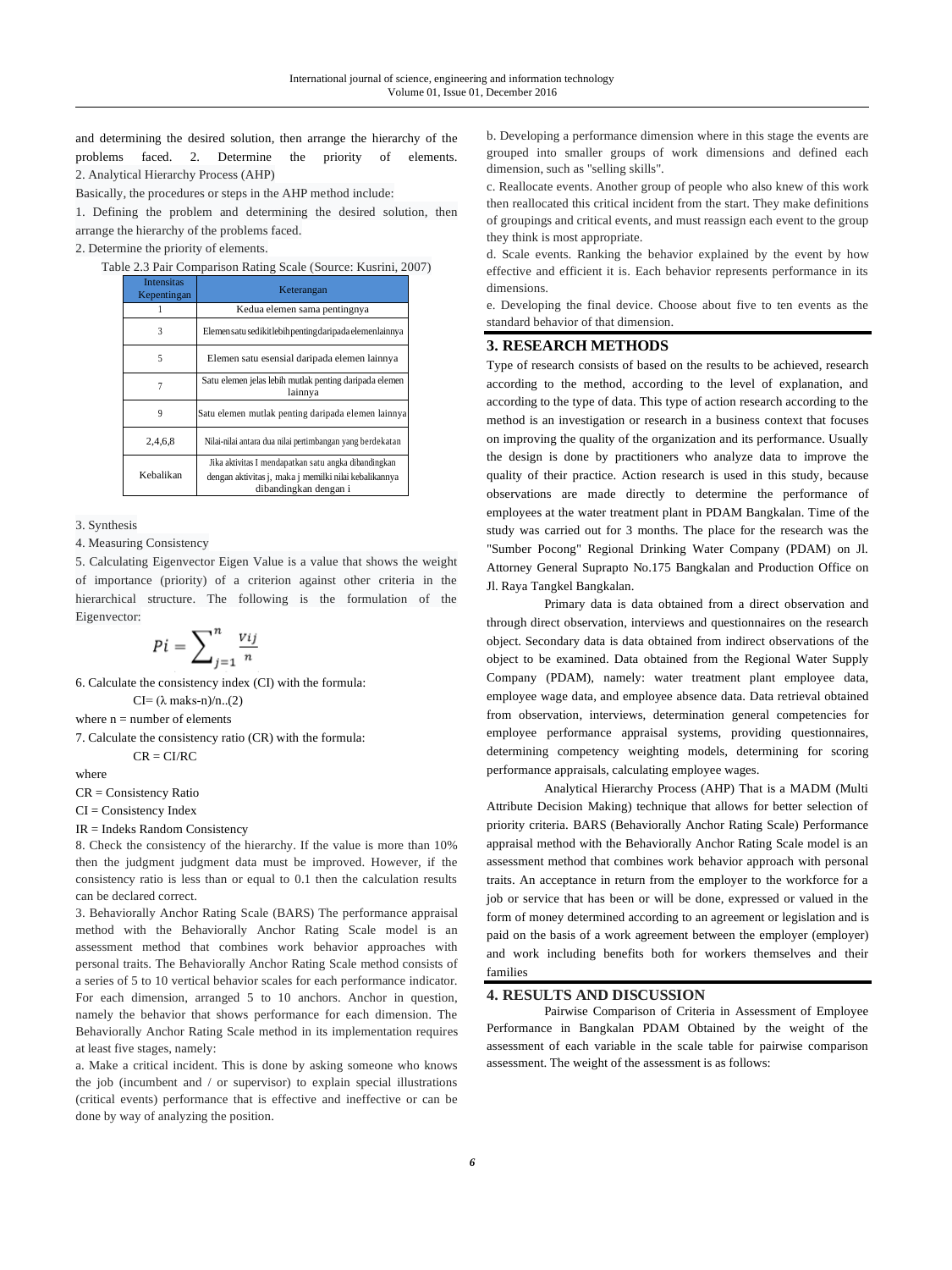and determining the desired solution, then arrange the hierarchy of the problems faced. 2. Determine the priority of elements. 2. Analytical Hierarchy Process (AHP)

Basically, the procedures or steps in the AHP method include:

1. Defining the problem and determining the desired solution, then arrange the hierarchy of the problems faced.

2. Determine the priority of elements.

Table 2.3 Pair Comparison Rating Scale (Source: Kusrini, 2007)

| <b>Intensitas</b><br>Kepentingan | Keterangan                                                                                                                             |
|----------------------------------|----------------------------------------------------------------------------------------------------------------------------------------|
|                                  | Kedua elemen sama pentingnya                                                                                                           |
| 3                                | Elemensatu sedikitlebih penting dari pada elemenlainnya                                                                                |
| 5                                | Elemen satu esensial daripada elemen lainnya                                                                                           |
|                                  | Satu elemen jelas lebih mutlak penting daripada elemen<br>lainnya                                                                      |
| 9                                | Satu elemen mutlak penting daripada elemen lainnya                                                                                     |
| 2,4,6,8                          | Nilai-nilai antara dua nilai pertimbangan yang berdekatan                                                                              |
| Kebalikan                        | Jika aktivitas I mendapatkan satu angka dibandingkan<br>dengan aktivitas į, maka į memilki nilai kebalikannya<br>dibandingkan dengan i |

3. Synthesis

4. Measuring Consistency

5. Calculating Eigenvector Eigen Value is a value that shows the weight of importance (priority) of a criterion against other criteria in the hierarchical structure. The following is the formulation of the Eigenvector:

$$
Pi = \sum_{j=1}^{n} \frac{v_{ij}}{n}
$$

6. Calculate the consistency index (CI) with the formula:

 $CI=(\lambda \text{ maks-n})/n...(2)$ 

where  $n =$  number of elements

7. Calculate the consistency ratio (CR) with the formula:

 $CR = CI/RC$ 

where

CR = Consistency Ratio

CI = Consistency Index

IR = Indeks Random Consistency

8. Check the consistency of the hierarchy. If the value is more than 10% then the judgment judgment data must be improved. However, if the consistency ratio is less than or equal to 0.1 then the calculation results can be declared correct.

3. Behaviorally Anchor Rating Scale (BARS) The performance appraisal method with the Behaviorally Anchor Rating Scale model is an assessment method that combines work behavior approaches with personal traits. The Behaviorally Anchor Rating Scale method consists of a series of 5 to 10 vertical behavior scales for each performance indicator. For each dimension, arranged 5 to 10 anchors. Anchor in question, namely the behavior that shows performance for each dimension. The Behaviorally Anchor Rating Scale method in its implementation requires at least five stages, namely:

a. Make a critical incident. This is done by asking someone who knows the job (incumbent and / or supervisor) to explain special illustrations (critical events) performance that is effective and ineffective or can be done by way of analyzing the position.

b. Developing a performance dimension where in this stage the events are grouped into smaller groups of work dimensions and defined each dimension, such as "selling skills".

c. Reallocate events. Another group of people who also knew of this work then reallocated this critical incident from the start. They make definitions of groupings and critical events, and must reassign each event to the group they think is most appropriate.

d. Scale events. Ranking the behavior explained by the event by how effective and efficient it is. Each behavior represents performance in its dimensions.

e. Developing the final device. Choose about five to ten events as the standard behavior of that dimension.

# **3. RESEARCH METHODS**

Type of research consists of based on the results to be achieved, research according to the method, according to the level of explanation, and according to the type of data. This type of action research according to the method is an investigation or research in a business context that focuses on improving the quality of the organization and its performance. Usually the design is done by practitioners who analyze data to improve the quality of their practice. Action research is used in this study, because observations are made directly to determine the performance of employees at the water treatment plant in PDAM Bangkalan. Time of the study was carried out for 3 months. The place for the research was the "Sumber Pocong" Regional Drinking Water Company (PDAM) on Jl. Attorney General Suprapto No.175 Bangkalan and Production Office on Jl. Raya Tangkel Bangkalan.

Primary data is data obtained from a direct observation and through direct observation, interviews and questionnaires on the research object. Secondary data is data obtained from indirect observations of the object to be examined. Data obtained from the Regional Water Supply Company (PDAM), namely: water treatment plant employee data, employee wage data, and employee absence data. Data retrieval obtained from observation, interviews, determination general competencies for employee performance appraisal systems, providing questionnaires, determining competency weighting models, determining for scoring performance appraisals, calculating employee wages.

Analytical Hierarchy Process (AHP) That is a MADM (Multi Attribute Decision Making) technique that allows for better selection of priority criteria. BARS (Behaviorally Anchor Rating Scale) Performance appraisal method with the Behaviorally Anchor Rating Scale model is an assessment method that combines work behavior approach with personal traits. An acceptance in return from the employer to the workforce for a job or service that has been or will be done, expressed or valued in the form of money determined according to an agreement or legislation and is paid on the basis of a work agreement between the employer (employer) and work including benefits both for workers themselves and their families

#### **4. RESULTS AND DISCUSSION**

Pairwise Comparison of Criteria in Assessment of Employee Performance in Bangkalan PDAM Obtained by the weight of the assessment of each variable in the scale table for pairwise comparison assessment. The weight of the assessment is as follows: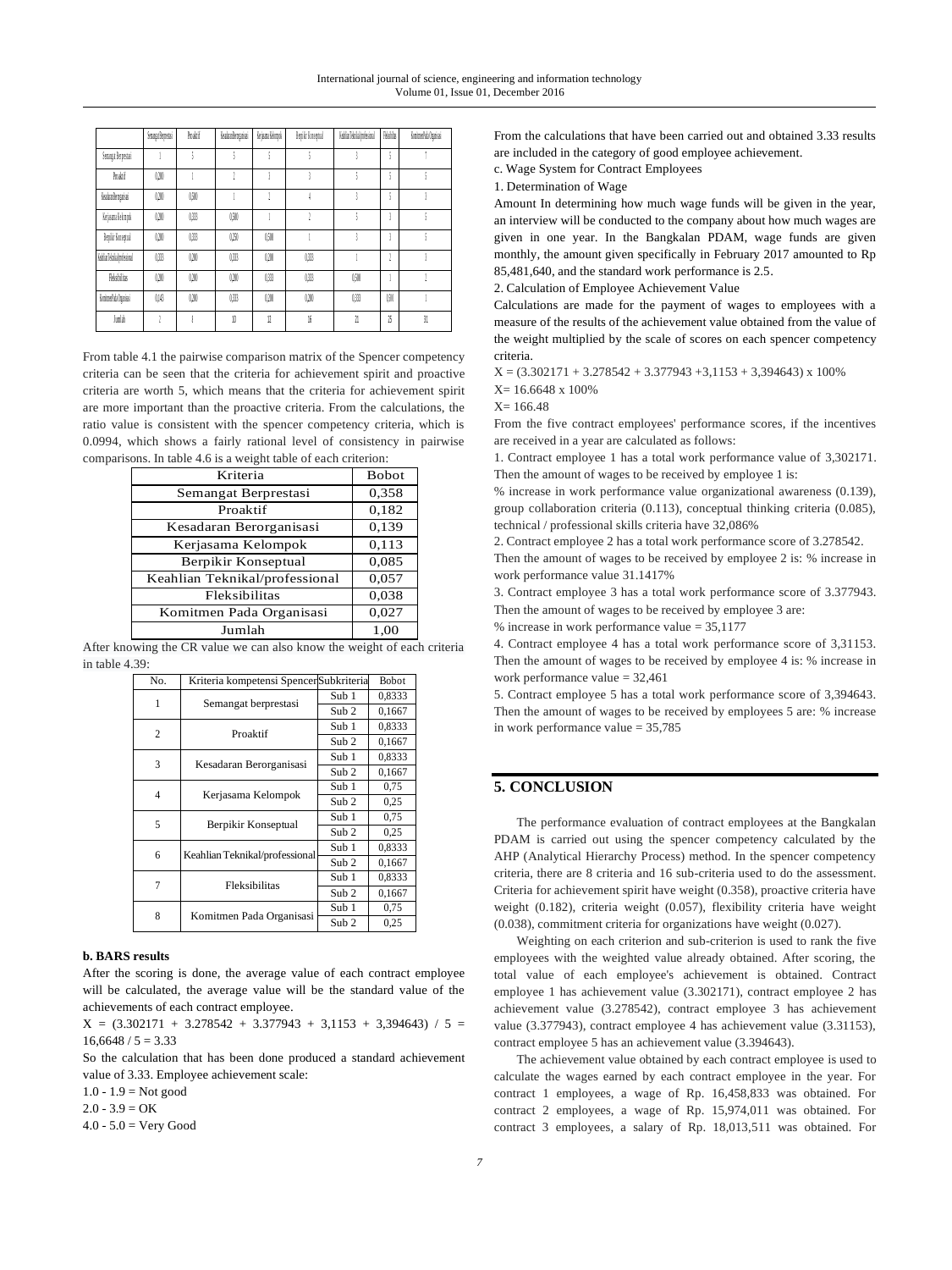|                           | Senanga Berpestasi | Proskif | <b>Ksalvaikrozaisai</b> | Krisana Kénopok | Bepilir Koseptual | KehlianTeknikalmulessional | Richte | KoninenPub Ogaisai |
|---------------------------|--------------------|---------|-------------------------|-----------------|-------------------|----------------------------|--------|--------------------|
| Semagat Berpestasi        |                    | ¢       |                         | ١               |                   |                            | t      |                    |
| Produit                   | 0200               |         |                         |                 |                   |                            | t      |                    |
| <b>Ksdraforgaisi</b>      | 0200               | (50)    |                         |                 |                   |                            |        |                    |
| Kejsana Kelonyak          | 0200               | 033     | (50)                    |                 |                   |                            |        |                    |
| Bepilir Koseptual         | 0200               | 033     | (25)                    | 0500            |                   |                            | -2     | t                  |
| KebfanTeknikal podesional | 033                | (2)     | 0,333                   | 0200            | 033               |                            |        |                    |
| Fleksibilitas             | 0200               | (2)     | (3)                     | 033             | 033               | 0500                       |        |                    |
| KonimerPada Organisasi    | 0.16               | (2)     | 033                     | 0200            | 0200              | 0333                       | 0500   |                    |
| Junish                    |                    |         | 10                      | 12              | 16                | 21                         | 15     | $\overline{31}$    |

From table 4.1 the pairwise comparison matrix of the Spencer competency criteria can be seen that the criteria for achievement spirit and proactive criteria are worth 5, which means that the criteria for achievement spirit are more important than the proactive criteria. From the calculations, the ratio value is consistent with the spencer competency criteria, which is 0.0994, which shows a fairly rational level of consistency in pairwise comparisons. In table 4.6 is a weight table of each criterion:

| Kriteria                       | <b>Bobot</b> |
|--------------------------------|--------------|
| Semangat Berprestasi           | 0,358        |
| Proaktif                       | 0,182        |
| Kesadaran Berorganisasi        | 0,139        |
| Kerjasama Kelompok             | 0,113        |
| Berpikir Konseptual            | 0,085        |
| Keahlian Teknikal/professional | 0,057        |
| Fleksibilitas                  | 0,038        |
| Komitmen Pada Organisasi       | 0,027        |
| Jumlah                         | 1.00         |

After knowing the CR value we can also know the weight of each criteria in table 4.39:

| No. | Kriteria kompetensi SpencerSubkriteria |                  | Bobot  |
|-----|----------------------------------------|------------------|--------|
| 1   | Semangat berprestasi                   | Sub 1            | 0,8333 |
|     |                                        | Sub <sub>2</sub> | 0,1667 |
| 2   | Proaktif                               | Sub 1            | 0,8333 |
|     |                                        | Sub <sub>2</sub> | 0,1667 |
| 3   |                                        | Sub 1            | 0,8333 |
|     | Kesadaran Berorganisasi                | Sub <sub>2</sub> | 0,1667 |
| 4   | Kerjasama Kelompok                     | Sub 1            | 0.75   |
|     |                                        | Sub <sub>2</sub> | 0.25   |
| 5   | Berpikir Konseptual                    | Sub 1            | 0.75   |
|     |                                        | Sub <sub>2</sub> | 0.25   |
| 6   |                                        | Sub 1            | 0,8333 |
|     | Keahlian Teknikal/professional         | Sub <sub>2</sub> | 0,1667 |
| 7   | Fleksibilitas                          | Sub 1            | 0,8333 |
|     |                                        | Sub <sub>2</sub> | 0,1667 |
| 8   |                                        | Sub 1            | 0.75   |
|     | Komitmen Pada Organisasi               | Sub <sub>2</sub> | 0.25   |

#### **b. BARS results**

After the scoring is done, the average value of each contract employee will be calculated, the average value will be the standard value of the achievements of each contract employee.

 $X = (3.302171 + 3.278542 + 3.377943 + 3.1153 + 3.394643) / 5 =$  $16,6648 / 5 = 3.33$ 

So the calculation that has been done produced a standard achievement value of 3.33. Employee achievement scale:

 $1.0 - 1.9 = Not good$ 

 $2.0 - 3.9 = OK$ 

 $4.0 - 5.0 = \text{Very Good}$ 

From the calculations that have been carried out and obtained 3.33 results are included in the category of good employee achievement.

c. Wage System for Contract Employees

1. Determination of Wage

Amount In determining how much wage funds will be given in the year, an interview will be conducted to the company about how much wages are given in one year. In the Bangkalan PDAM, wage funds are given monthly, the amount given specifically in February 2017 amounted to Rp 85,481,640, and the standard work performance is 2.5.

2. Calculation of Employee Achievement Value

Calculations are made for the payment of wages to employees with a measure of the results of the achievement value obtained from the value of the weight multiplied by the scale of scores on each spencer competency criteria.

 $X = (3.302171 + 3.278542 + 3.377943 + 3.1153 + 3.394643) \times 100\%$ 

X= 16.6648 x 100%

 $X = 166.48$ 

From the five contract employees' performance scores, if the incentives are received in a year are calculated as follows:

1. Contract employee 1 has a total work performance value of 3,302171. Then the amount of wages to be received by employee 1 is:

% increase in work performance value organizational awareness (0.139), group collaboration criteria (0.113), conceptual thinking criteria (0.085), technical / professional skills criteria have 32,086%

2. Contract employee 2 has a total work performance score of 3.278542. Then the amount of wages to be received by employee 2 is: % increase in work performance value 31.1417%

3. Contract employee 3 has a total work performance score of 3.377943. Then the amount of wages to be received by employee 3 are:

% increase in work performance value = 35,1177

4. Contract employee 4 has a total work performance score of 3,31153. Then the amount of wages to be received by employee 4 is: % increase in work performance value = 32,461

5. Contract employee 5 has a total work performance score of 3,394643. Then the amount of wages to be received by employees 5 are: % increase in work performance value = 35,785

## **5. CONCLUSION**

The performance evaluation of contract employees at the Bangkalan PDAM is carried out using the spencer competency calculated by the AHP (Analytical Hierarchy Process) method. In the spencer competency criteria, there are 8 criteria and 16 sub-criteria used to do the assessment. Criteria for achievement spirit have weight (0.358), proactive criteria have weight (0.182), criteria weight (0.057), flexibility criteria have weight (0.038), commitment criteria for organizations have weight (0.027).

Weighting on each criterion and sub-criterion is used to rank the five employees with the weighted value already obtained. After scoring, the total value of each employee's achievement is obtained. Contract employee 1 has achievement value (3.302171), contract employee 2 has achievement value (3.278542), contract employee 3 has achievement value (3.377943), contract employee 4 has achievement value (3.31153), contract employee 5 has an achievement value (3.394643).

The achievement value obtained by each contract employee is used to calculate the wages earned by each contract employee in the year. For contract 1 employees, a wage of Rp. 16,458,833 was obtained. For contract 2 employees, a wage of Rp. 15,974,011 was obtained. For contract 3 employees, a salary of Rp. 18,013,511 was obtained. For